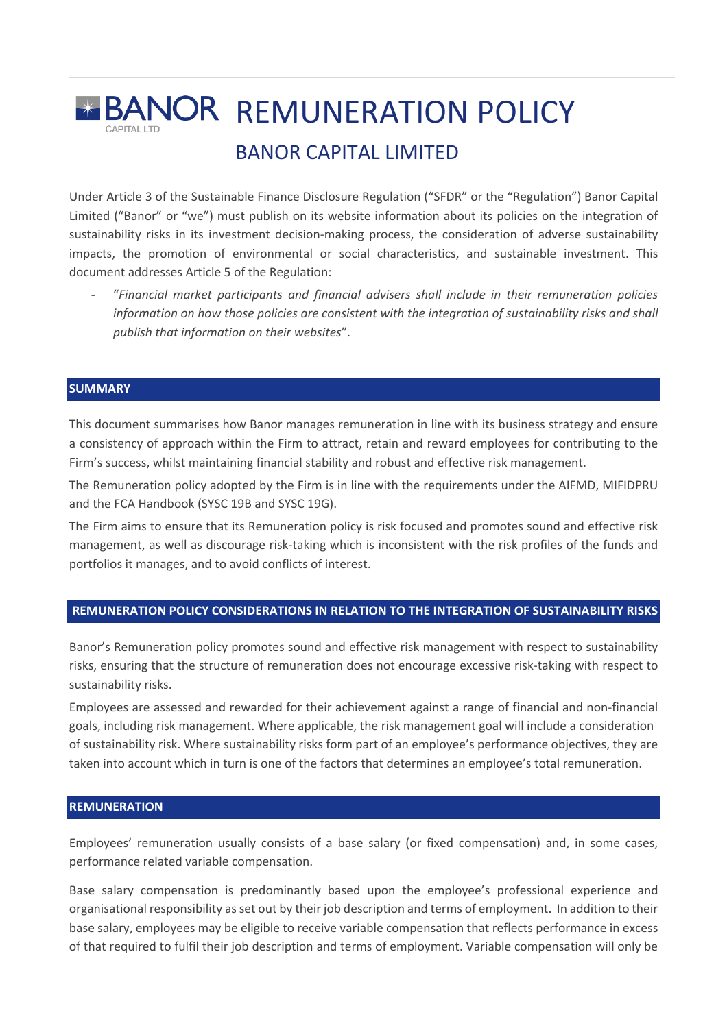# **REMUNERATION POLICY** BANOR CAPITAL LIMITED

Under Article 3 of the Sustainable Finance Disclosure Regulation ("SFDR" or the "Regulation") Banor Capital Limited ("Banor" or "we") must publish on its website information about its policies on the integration of sustainability risks in its investment decision-making process, the consideration of adverse sustainability impacts, the promotion of environmental or social characteristics, and sustainable investment. This document addresses Article 5 of the Regulation:

- "*Financial market participants and financial advisers shall include in their remuneration policies information on how those policies are consistent with the integration of sustainability risks and shall publish that information on their websites*".

#### **SUMMARY**

This document summarises how Banor manages remuneration in line with its business strategy and ensure a consistency of approach within the Firm to attract, retain and reward employees for contributing to the Firm's success, whilst maintaining financial stability and robust and effective risk management.

The Remuneration policy adopted by the Firm is in line with the requirements under the AIFMD, MIFIDPRU and the FCA Handbook (SYSC 19B and SYSC 19G).

The Firm aims to ensure that its Remuneration policy is risk focused and promotes sound and effective risk management, as well as discourage risk-taking which is inconsistent with the risk profiles of the funds and portfolios it manages, and to avoid conflicts of interest.

## **REMUNERATION POLICY CONSIDERATIONS IN RELATION TO THE INTEGRATION OF SUSTAINABILITY RISKS**

Banor's Remuneration policy promotes sound and effective risk management with respect to sustainability risks, ensuring that the structure of remuneration does not encourage excessive risk-taking with respect to sustainability risks.

Employees are assessed and rewarded for their achievement against a range of financial and non-financial goals, including risk management. Where applicable, the risk management goal will include a consideration of sustainability risk. Where sustainability risks form part of an employee's performance objectives, they are taken into account which in turn is one of the factors that determines an employee's total remuneration.

#### **REMUNERATION**

Employees' remuneration usually consists of a base salary (or fixed compensation) and, in some cases, performance related variable compensation.

Base salary compensation is predominantly based upon the employee's professional experience and organisational responsibility as set out by their job description and terms of employment. In addition to their base salary, employees may be eligible to receive variable compensation that reflects performance in excess of that required to fulfil their job description and terms of employment. Variable compensation will only be